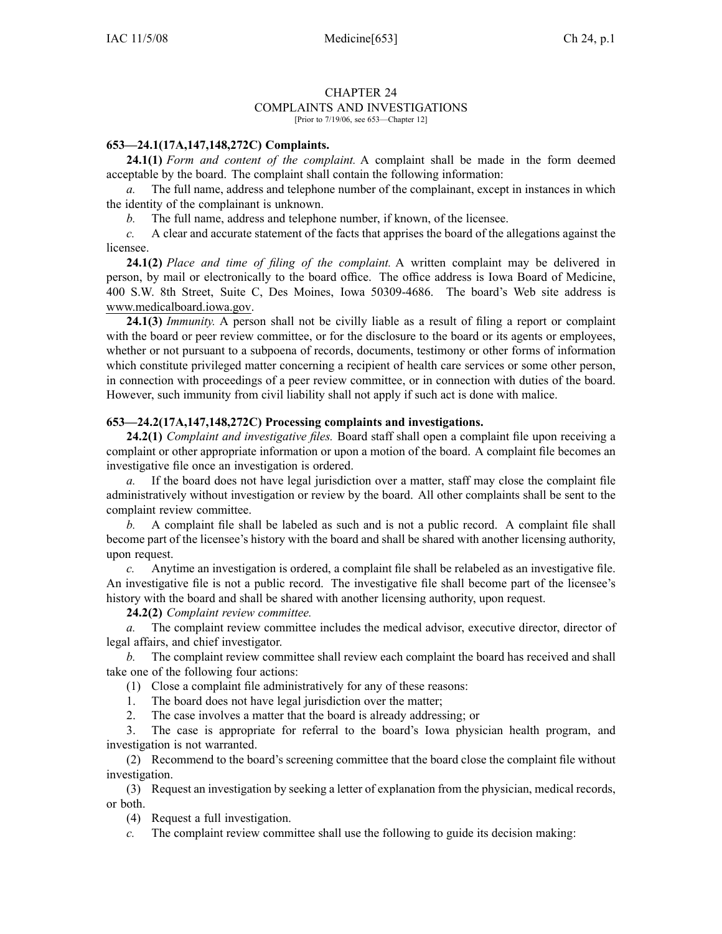## CHAPTER 24 COMPLAINTS AND INVESTIGATIONS

[Prior to 7/19/06, see 653—Chapter 12]

## **653—24.1(17A,147,148,272C) Complaints.**

**24.1(1)** *Form and content of the complaint.* A complaint shall be made in the form deemed acceptable by the board. The complaint shall contain the following information:

*a.* The full name, address and telephone number of the complainant, excep<sup>t</sup> in instances in which the identity of the complainant is unknown.

*b.* The full name, address and telephone number, if known, of the licensee.

*c.* A clear and accurate statement of the facts that apprises the board of the allegations against the licensee.

**24.1(2)** *Place and time of filing of the complaint.* A written complaint may be delivered in person, by mail or electronically to the board office. The office address is Iowa Board of Medicine, 400 S.W. 8th Street, Suite C, Des Moines, Iowa 50309-4686. The board's Web site address is www.medicalboard.iowa.gov.

**24.1(3)** *Immunity.* A person shall not be civilly liable as <sup>a</sup> result of filing <sup>a</sup> repor<sup>t</sup> or complaint with the board or peer review committee, or for the disclosure to the board or its agents or employees, whether or not pursuan<sup>t</sup> to <sup>a</sup> subpoena of records, documents, testimony or other forms of information which constitute privileged matter concerning <sup>a</sup> recipient of health care services or some other person, in connection with proceedings of <sup>a</sup> peer review committee, or in connection with duties of the board. However, such immunity from civil liability shall not apply if such act is done with malice.

## **653—24.2(17A,147,148,272C) Processing complaints and investigations.**

**24.2(1)** *Complaint and investigative files.* Board staff shall open <sup>a</sup> complaint file upon receiving <sup>a</sup> complaint or other appropriate information or upon <sup>a</sup> motion of the board. A complaint file becomes an investigative file once an investigation is ordered.

*a.* If the board does not have legal jurisdiction over <sup>a</sup> matter, staff may close the complaint file administratively without investigation or review by the board. All other complaints shall be sent to the complaint review committee.

*b.* A complaint file shall be labeled as such and is not <sup>a</sup> public record. A complaint file shall become par<sup>t</sup> of the licensee's history with the board and shall be shared with another licensing authority, upon request.

*c.* Anytime an investigation is ordered, <sup>a</sup> complaint file shall be relabeled as an investigative file. An investigative file is not <sup>a</sup> public record. The investigative file shall become par<sup>t</sup> of the licensee's history with the board and shall be shared with another licensing authority, upon request.

**24.2(2)** *Complaint review committee.*

*a.* The complaint review committee includes the medical advisor, executive director, director of legal affairs, and chief investigator.

*b.* The complaint review committee shall review each complaint the board has received and shall take one of the following four actions:

(1) Close <sup>a</sup> complaint file administratively for any of these reasons:

1. The board does not have legal jurisdiction over the matter;

2. The case involves <sup>a</sup> matter that the board is already addressing; or

3. The case is appropriate for referral to the board's Iowa physician health program, and investigation is not warranted.

(2) Recommend to the board's screening committee that the board close the complaint file without investigation.

(3) Request an investigation by seeking <sup>a</sup> letter of explanation from the physician, medical records, or both.

(4) Request <sup>a</sup> full investigation.

*c.* The complaint review committee shall use the following to guide its decision making: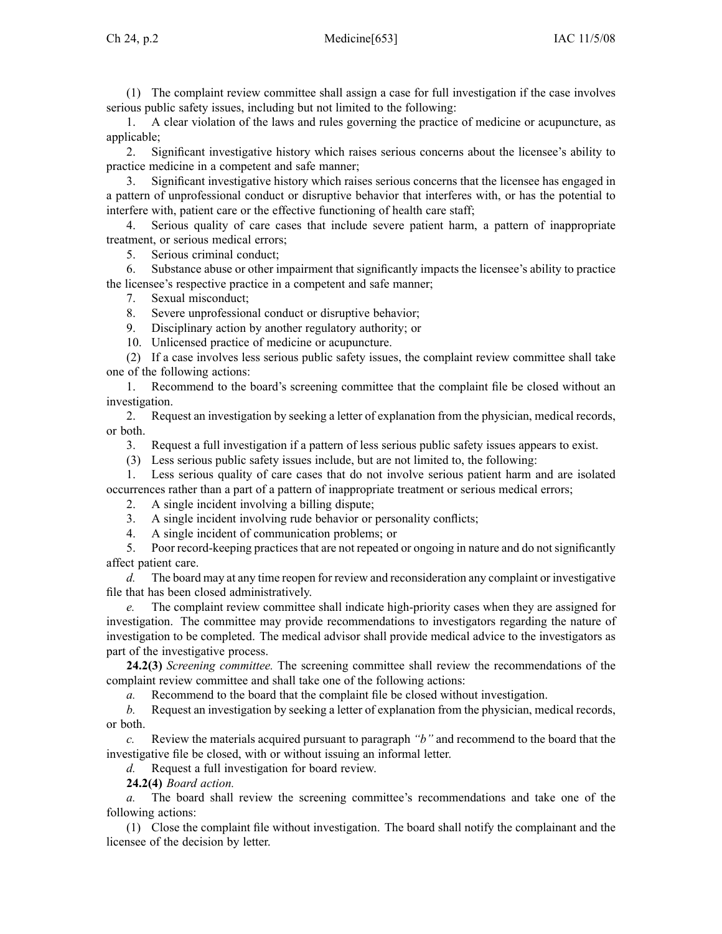(1) The complaint review committee shall assign <sup>a</sup> case for full investigation if the case involves serious public safety issues, including but not limited to the following:

1. A clear violation of the laws and rules governing the practice of medicine or acupuncture, as applicable;

2. Significant investigative history which raises serious concerns about the licensee's ability to practice medicine in <sup>a</sup> competent and safe manner;

3. Significant investigative history which raises serious concerns that the licensee has engaged in <sup>a</sup> pattern of unprofessional conduct or disruptive behavior that interferes with, or has the potential to interfere with, patient care or the effective functioning of health care staff;

4. Serious quality of care cases that include severe patient harm, <sup>a</sup> pattern of inappropriate treatment, or serious medical errors;

5. Serious criminal conduct;

6. Substance abuse or other impairment that significantly impacts the licensee's ability to practice the licensee's respective practice in <sup>a</sup> competent and safe manner;

7. Sexual misconduct;

8. Severe unprofessional conduct or disruptive behavior;

9. Disciplinary action by another regulatory authority; or

10. Unlicensed practice of medicine or acupuncture.

(2) If <sup>a</sup> case involves less serious public safety issues, the complaint review committee shall take one of the following actions:

1. Recommend to the board's screening committee that the complaint file be closed without an investigation.

2. Request an investigation by seeking <sup>a</sup> letter of explanation from the physician, medical records, or both.

3. Request <sup>a</sup> full investigation if <sup>a</sup> pattern of less serious public safety issues appears to exist.

(3) Less serious public safety issues include, but are not limited to, the following:

1. Less serious quality of care cases that do not involve serious patient harm and are isolated occurrences rather than <sup>a</sup> par<sup>t</sup> of <sup>a</sup> pattern of inappropriate treatment or serious medical errors;

2. A single incident involving <sup>a</sup> billing dispute;

3. A single incident involving rude behavior or personality conflicts;

4. A single incident of communication problems; or

5. Poor record-keeping practicesthat are not repeated or ongoing in nature and do notsignificantly affect patient care.

*d.* The board may at any time reopen for review and reconsideration any complaint or investigative file that has been closed administratively.

*e.* The complaint review committee shall indicate high-priority cases when they are assigned for investigation. The committee may provide recommendations to investigators regarding the nature of investigation to be completed. The medical advisor shall provide medical advice to the investigators as par<sup>t</sup> of the investigative process.

**24.2(3)** *Screening committee.* The screening committee shall review the recommendations of the complaint review committee and shall take one of the following actions:

*a.* Recommend to the board that the complaint file be closed without investigation.

*b.* Request an investigation by seeking <sup>a</sup> letter of explanation from the physician, medical records, or both.

*c.* Review the materials acquired pursuan<sup>t</sup> to paragraph *"b"* and recommend to the board that the investigative file be closed, with or without issuing an informal letter.

*d.* Request <sup>a</sup> full investigation for board review.

**24.2(4)** *Board action.*

*a.* The board shall review the screening committee's recommendations and take one of the following actions:

(1) Close the complaint file without investigation. The board shall notify the complainant and the licensee of the decision by letter.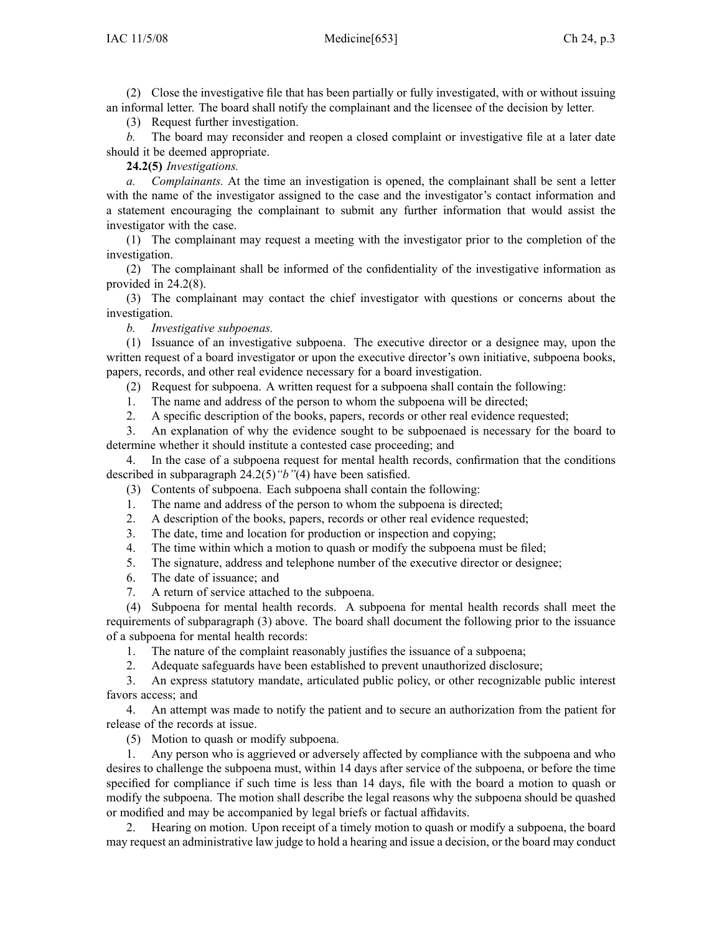(2) Close the investigative file that has been partially or fully investigated, with or without issuing an informal letter. The board shall notify the complainant and the licensee of the decision by letter.

(3) Request further investigation.

*b.* The board may reconsider and reopen <sup>a</sup> closed complaint or investigative file at <sup>a</sup> later date should it be deemed appropriate.

**24.2(5)** *Investigations.*

*a. Complainants.* At the time an investigation is opened, the complainant shall be sent <sup>a</sup> letter with the name of the investigator assigned to the case and the investigator's contact information and <sup>a</sup> statement encouraging the complainant to submit any further information that would assist the investigator with the case.

(1) The complainant may reques<sup>t</sup> <sup>a</sup> meeting with the investigator prior to the completion of the investigation.

(2) The complainant shall be informed of the confidentiality of the investigative information as provided in 24.2(8).

(3) The complainant may contact the chief investigator with questions or concerns about the investigation.

*b. Investigative subpoenas.*

(1) Issuance of an investigative subpoena. The executive director or <sup>a</sup> designee may, upon the written reques<sup>t</sup> of <sup>a</sup> board investigator or upon the executive director's own initiative, subpoena books, papers, records, and other real evidence necessary for <sup>a</sup> board investigation.

- (2) Request for subpoena. A written reques<sup>t</sup> for <sup>a</sup> subpoena shall contain the following:
- 1. The name and address of the person to whom the subpoena will be directed;
- 2. A specific description of the books, papers, records or other real evidence requested;

3. An explanation of why the evidence sought to be subpoenaed is necessary for the board to determine whether it should institute <sup>a</sup> contested case proceeding; and

4. In the case of <sup>a</sup> subpoena reques<sup>t</sup> for mental health records, confirmation that the conditions described in subparagraph 24.2(5)*"b"*(4) have been satisfied.

(3) Contents of subpoena. Each subpoena shall contain the following:

- 1. The name and address of the person to whom the subpoena is directed;
- 2. A description of the books, papers, records or other real evidence requested;
- 3. The date, time and location for production or inspection and copying;<br>4. The time within which a motion to quash or modify the subnoena mus
- The time within which a motion to quash or modify the subpoena must be filed;
- 5. The signature, address and telephone number of the executive director or designee;
- 6. The date of issuance; and
- 7. A return of service attached to the subpoena.

(4) Subpoena for mental health records. A subpoena for mental health records shall meet the requirements of subparagraph (3) above. The board shall document the following prior to the issuance of <sup>a</sup> subpoena for mental health records:

1. The nature of the complaint reasonably justifies the issuance of <sup>a</sup> subpoena;

2. Adequate safeguards have been established to preven<sup>t</sup> unauthorized disclosure;

3. An express statutory mandate, articulated public policy, or other recognizable public interest favors access; and

4. An attempt was made to notify the patient and to secure an authorization from the patient for release of the records at issue.

(5) Motion to quash or modify subpoena.

1. Any person who is aggrieved or adversely affected by compliance with the subpoena and who desires to challenge the subpoena must, within 14 days after service of the subpoena, or before the time specified for compliance if such time is less than 14 days, file with the board <sup>a</sup> motion to quash or modify the subpoena. The motion shall describe the legal reasons why the subpoena should be quashed or modified and may be accompanied by legal briefs or factual affidavits.

2. Hearing on motion. Upon receipt of <sup>a</sup> timely motion to quash or modify <sup>a</sup> subpoena, the board may reques<sup>t</sup> an administrative law judge to hold <sup>a</sup> hearing and issue <sup>a</sup> decision, or the board may conduct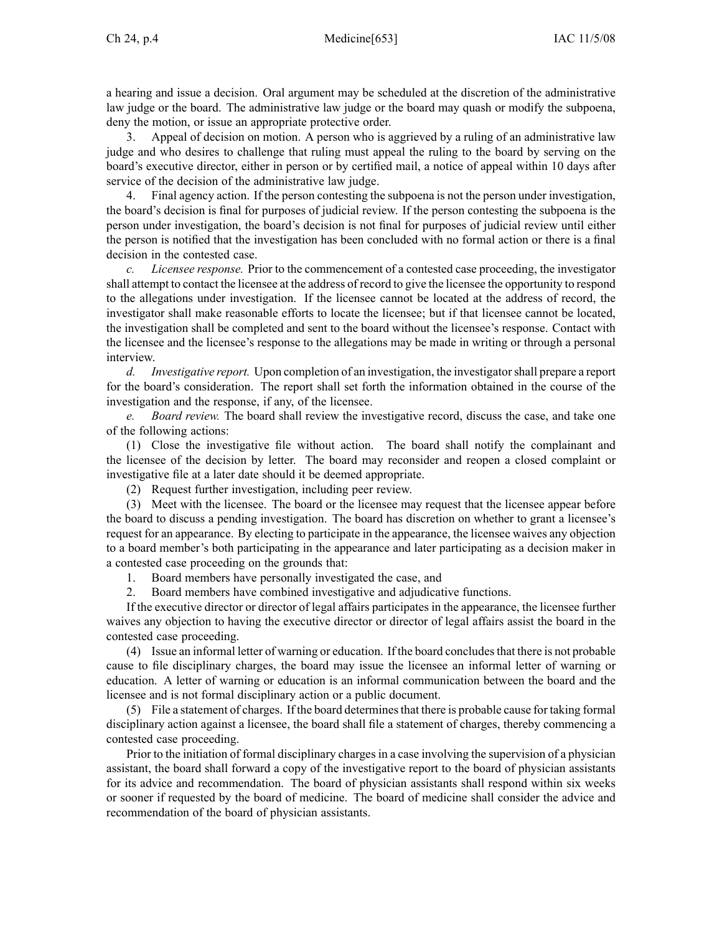<sup>a</sup> hearing and issue <sup>a</sup> decision. Oral argumen<sup>t</sup> may be scheduled at the discretion of the administrative law judge or the board. The administrative law judge or the board may quash or modify the subpoena, deny the motion, or issue an appropriate protective order.

3. Appeal of decision on motion. A person who is aggrieved by <sup>a</sup> ruling of an administrative law judge and who desires to challenge that ruling must appeal the ruling to the board by serving on the board's executive director, either in person or by certified mail, <sup>a</sup> notice of appeal within 10 days after service of the decision of the administrative law judge.

4. Final agency action. If the person contesting the subpoena is not the person under investigation, the board's decision is final for purposes of judicial review. If the person contesting the subpoena is the person under investigation, the board's decision is not final for purposes of judicial review until either the person is notified that the investigation has been concluded with no formal action or there is <sup>a</sup> final decision in the contested case.

*c. Licensee response.* Prior to the commencement of <sup>a</sup> contested case proceeding, the investigator shall attempt to contact the licensee at the address of record to give the licensee the opportunity to respond to the allegations under investigation. If the licensee cannot be located at the address of record, the investigator shall make reasonable efforts to locate the licensee; but if that licensee cannot be located, the investigation shall be completed and sent to the board without the licensee's response. Contact with the licensee and the licensee's response to the allegations may be made in writing or through <sup>a</sup> personal interview.

*d. Investigative report.* Upon completion of an investigation, the investigatorshall prepare <sup>a</sup> repor<sup>t</sup> for the board's consideration. The repor<sup>t</sup> shall set forth the information obtained in the course of the investigation and the response, if any, of the licensee.

*e. Board review.* The board shall review the investigative record, discuss the case, and take one of the following actions:

(1) Close the investigative file without action. The board shall notify the complainant and the licensee of the decision by letter. The board may reconsider and reopen <sup>a</sup> closed complaint or investigative file at <sup>a</sup> later date should it be deemed appropriate.

(2) Request further investigation, including peer review.

(3) Meet with the licensee. The board or the licensee may reques<sup>t</sup> that the licensee appear before the board to discuss <sup>a</sup> pending investigation. The board has discretion on whether to gran<sup>t</sup> <sup>a</sup> licensee's reques<sup>t</sup> for an appearance. By electing to participate in the appearance, the licensee waives any objection to <sup>a</sup> board member's both participating in the appearance and later participating as <sup>a</sup> decision maker in <sup>a</sup> contested case proceeding on the grounds that:

1. Board members have personally investigated the case, and

2. Board members have combined investigative and adjudicative functions.

If the executive director or director of legal affairs participates in the appearance, the licensee further waives any objection to having the executive director or director of legal affairs assist the board in the contested case proceeding.

(4) Issue an informal letter of warning or education. If the board concludesthat there is not probable cause to file disciplinary charges, the board may issue the licensee an informal letter of warning or education. A letter of warning or education is an informal communication between the board and the licensee and is not formal disciplinary action or <sup>a</sup> public document.

(5) File <sup>a</sup> statement of charges. If the board determinesthat there is probable cause for taking formal disciplinary action against <sup>a</sup> licensee, the board shall file <sup>a</sup> statement of charges, thereby commencing <sup>a</sup> contested case proceeding.

Prior to the initiation of formal disciplinary charges in a case involving the supervision of a physician assistant, the board shall forward <sup>a</sup> copy of the investigative repor<sup>t</sup> to the board of physician assistants for its advice and recommendation. The board of physician assistants shall respond within six weeks or sooner if requested by the board of medicine. The board of medicine shall consider the advice and recommendation of the board of physician assistants.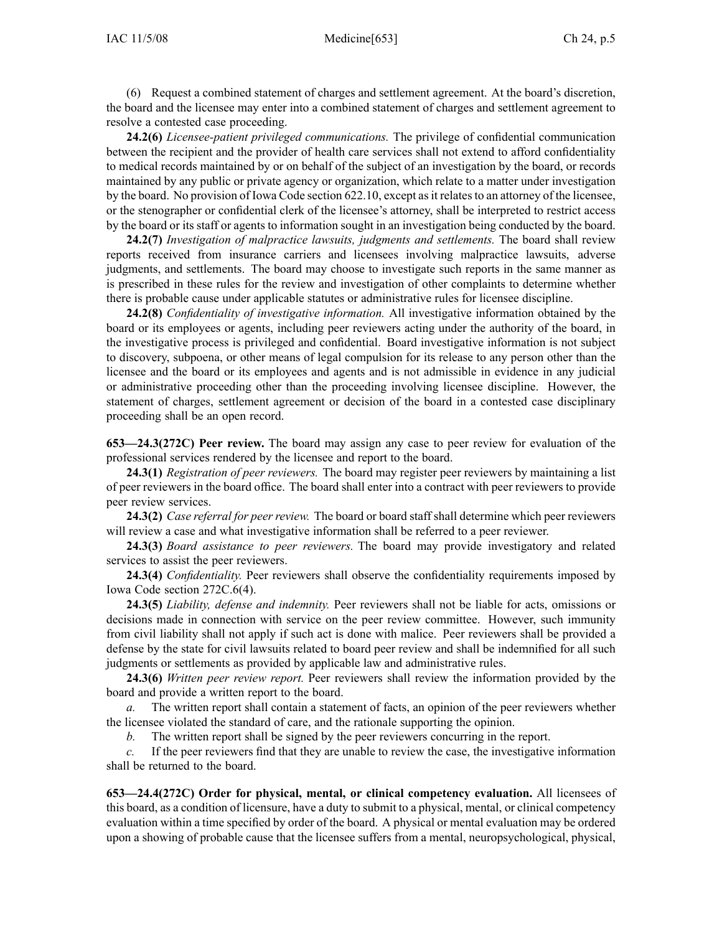(6) Request <sup>a</sup> combined statement of charges and settlement agreement. At the board's discretion, the board and the licensee may enter into <sup>a</sup> combined statement of charges and settlement agreemen<sup>t</sup> to resolve <sup>a</sup> contested case proceeding.

**24.2(6)** *Licensee-patient privileged communications.* The privilege of confidential communication between the recipient and the provider of health care services shall not extend to afford confidentiality to medical records maintained by or on behalf of the subject of an investigation by the board, or records maintained by any public or private agency or organization, which relate to <sup>a</sup> matter under investigation by the board. No provision of Iowa Code section 622.10, except as it relates to an attorney of the licensee, or the stenographer or confidential clerk of the licensee's attorney, shall be interpreted to restrict access by the board or its staff or agents to information sought in an investigation being conducted by the board.

**24.2(7)** *Investigation of malpractice lawsuits, judgments and settlements.* The board shall review reports received from insurance carriers and licensees involving malpractice lawsuits, adverse judgments, and settlements. The board may choose to investigate such reports in the same manner as is prescribed in these rules for the review and investigation of other complaints to determine whether there is probable cause under applicable statutes or administrative rules for licensee discipline.

**24.2(8)** *Confidentiality of investigative information.* All investigative information obtained by the board or its employees or agents, including peer reviewers acting under the authority of the board, in the investigative process is privileged and confidential. Board investigative information is not subject to discovery, subpoena, or other means of legal compulsion for its release to any person other than the licensee and the board or its employees and agents and is not admissible in evidence in any judicial or administrative proceeding other than the proceeding involving licensee discipline. However, the statement of charges, settlement agreemen<sup>t</sup> or decision of the board in <sup>a</sup> contested case disciplinary proceeding shall be an open record.

**653—24.3(272C) Peer review.** The board may assign any case to peer review for evaluation of the professional services rendered by the licensee and repor<sup>t</sup> to the board.

**24.3(1)** *Registration of peer reviewers.* The board may register peer reviewers by maintaining <sup>a</sup> list of peer reviewers in the board office. The board shall enter into <sup>a</sup> contract with peer reviewers to provide peer review services.

**24.3(2)** *Case referral for peer review.* The board or board staff shall determine which peer reviewers will review <sup>a</sup> case and what investigative information shall be referred to <sup>a</sup> peer reviewer.

**24.3(3)** *Board assistance to peer reviewers.* The board may provide investigatory and related services to assist the peer reviewers.

**24.3(4)** *Confidentiality.* Peer reviewers shall observe the confidentiality requirements imposed by Iowa Code section 272C.6(4).

**24.3(5)** *Liability, defense and indemnity.* Peer reviewers shall not be liable for acts, omissions or decisions made in connection with service on the peer review committee. However, such immunity from civil liability shall not apply if such act is done with malice. Peer reviewers shall be provided <sup>a</sup> defense by the state for civil lawsuits related to board peer review and shall be indemnified for all such judgments or settlements as provided by applicable law and administrative rules.

**24.3(6)** *Written peer review report.* Peer reviewers shall review the information provided by the board and provide <sup>a</sup> written repor<sup>t</sup> to the board.

*a.* The written repor<sup>t</sup> shall contain <sup>a</sup> statement of facts, an opinion of the peer reviewers whether the licensee violated the standard of care, and the rationale supporting the opinion.

*b.* The written repor<sup>t</sup> shall be signed by the peer reviewers concurring in the report.

*c.* If the peer reviewers find that they are unable to review the case, the investigative information shall be returned to the board.

**653—24.4(272C) Order for physical, mental, or clinical competency evaluation.** All licensees of this board, as <sup>a</sup> condition of licensure, have <sup>a</sup> duty to submit to <sup>a</sup> physical, mental, or clinical competency evaluation within <sup>a</sup> time specified by order of the board. A physical or mental evaluation may be ordered upon <sup>a</sup> showing of probable cause that the licensee suffers from <sup>a</sup> mental, neuropsychological, physical,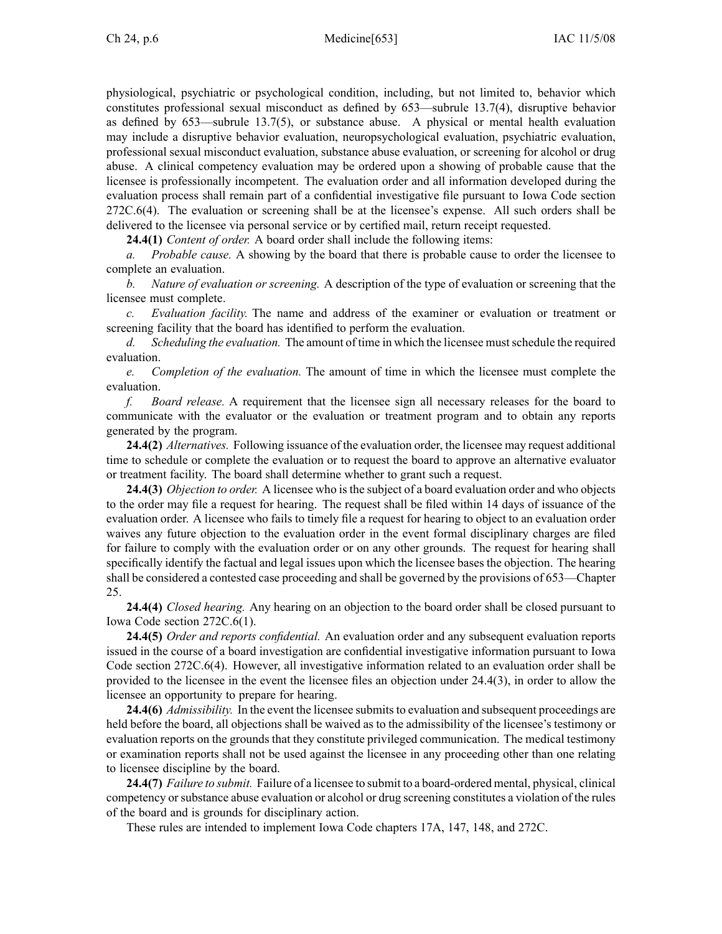physiological, psychiatric or psychological condition, including, but not limited to, behavior which constitutes professional sexual misconduct as defined by 653—subrule 13.7(4), disruptive behavior as defined by  $653$ —subrule 13.7(5), or substance abuse. A physical or mental health evaluation may include <sup>a</sup> disruptive behavior evaluation, neuropsychological evaluation, psychiatric evaluation, professional sexual misconduct evaluation, substance abuse evaluation, or screening for alcohol or drug abuse. A clinical competency evaluation may be ordered upon <sup>a</sup> showing of probable cause that the licensee is professionally incompetent. The evaluation order and all information developed during the evaluation process shall remain par<sup>t</sup> of <sup>a</sup> confidential investigative file pursuan<sup>t</sup> to Iowa Code section 272C.6(4). The evaluation or screening shall be at the licensee's expense. All such orders shall be delivered to the licensee via personal service or by certified mail, return receipt requested.

**24.4(1)** *Content of order.* A board order shall include the following items:

*a. Probable cause.* A showing by the board that there is probable cause to order the licensee to complete an evaluation.

*b. Nature of evaluation or screening.* A description of the type of evaluation or screening that the licensee must complete.

*c. Evaluation facility.* The name and address of the examiner or evaluation or treatment or screening facility that the board has identified to perform the evaluation.

*d. Scheduling the evaluation.* The amount of time in which the licensee mustschedule the required evaluation.

*e. Completion of the evaluation.* The amount of time in which the licensee must complete the evaluation.

*f. Board release.* A requirement that the licensee sign all necessary releases for the board to communicate with the evaluator or the evaluation or treatment program and to obtain any reports generated by the program.

**24.4(2)** *Alternatives.* Following issuance of the evaluation order, the licensee may reques<sup>t</sup> additional time to schedule or complete the evaluation or to reques<sup>t</sup> the board to approve an alternative evaluator or treatment facility. The board shall determine whether to gran<sup>t</sup> such <sup>a</sup> request.

**24.4(3)** *Objection to order.* A licensee who isthe subject of <sup>a</sup> board evaluation order and who objects to the order may file <sup>a</sup> reques<sup>t</sup> for hearing. The reques<sup>t</sup> shall be filed within 14 days of issuance of the evaluation order. A licensee who fails to timely file <sup>a</sup> reques<sup>t</sup> for hearing to object to an evaluation order waives any future objection to the evaluation order in the event formal disciplinary charges are filed for failure to comply with the evaluation order or on any other grounds. The reques<sup>t</sup> for hearing shall specifically identify the factual and legal issues upon which the licensee bases the objection. The hearing shall be considered <sup>a</sup> contested case proceeding and shall be governed by the provisions of 653—Chapter 25.

**24.4(4)** *Closed hearing.* Any hearing on an objection to the board order shall be closed pursuan<sup>t</sup> to Iowa Code section 272C.6(1).

**24.4(5)** *Order and reports confidential.* An evaluation order and any subsequent evaluation reports issued in the course of <sup>a</sup> board investigation are confidential investigative information pursuan<sup>t</sup> to Iowa Code section 272C.6(4). However, all investigative information related to an evaluation order shall be provided to the licensee in the event the licensee files an objection under 24.4(3), in order to allow the licensee an opportunity to prepare for hearing.

**24.4(6)** *Admissibility*. In the event the licensee submits to evaluation and subsequent proceedings are held before the board, all objections shall be waived as to the admissibility of the licensee's testimony or evaluation reports on the grounds that they constitute privileged communication. The medical testimony or examination reports shall not be used against the licensee in any proceeding other than one relating to licensee discipline by the board.

**24.4(7)** *Failure to submit.* Failure of <sup>a</sup> licensee to submit to <sup>a</sup> board-ordered mental, physical, clinical competency orsubstance abuse evaluation or alcohol or drug screening constitutes <sup>a</sup> violation of the rules of the board and is grounds for disciplinary action.

These rules are intended to implement Iowa Code chapters 17A, 147, 148, and 272C.